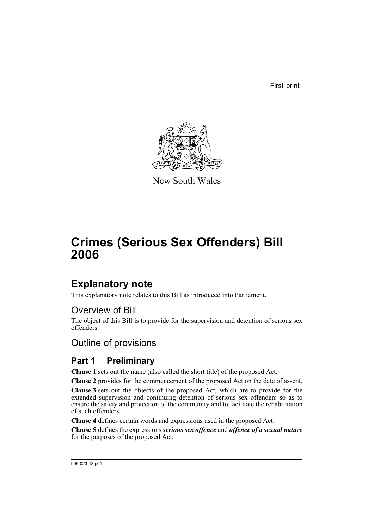First print



New South Wales

# **Crimes (Serious Sex Offenders) Bill 2006**

## **Explanatory note**

This explanatory note relates to this Bill as introduced into Parliament.

## Overview of Bill

The object of this Bill is to provide for the supervision and detention of serious sex offenders.

## Outline of provisions

## **Part 1 Preliminary**

**Clause 1** sets out the name (also called the short title) of the proposed Act.

**Clause 2** provides for the commencement of the proposed Act on the date of assent.

**Clause 3** sets out the objects of the proposed Act, which are to provide for the extended supervision and continuing detention of serious sex offenders so as to ensure the safety and protection of the community and to facilitate the rehabilitation of such offenders.

**Clause 4** defines certain words and expressions used in the proposed Act.

**Clause 5** defines the expressions *serious sex offence* and *offence of a sexual nature* for the purposes of the proposed Act.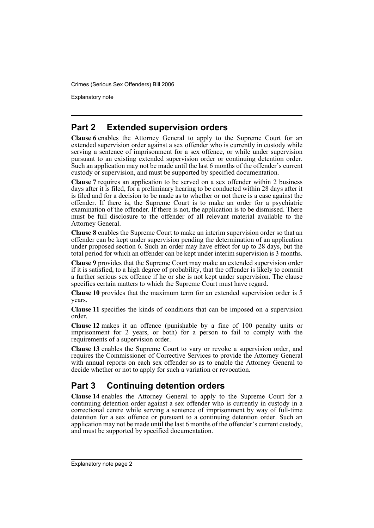Explanatory note

## **Part 2 Extended supervision orders**

**Clause 6** enables the Attorney General to apply to the Supreme Court for an extended supervision order against a sex offender who is currently in custody while serving a sentence of imprisonment for a sex offence, or while under supervision pursuant to an existing extended supervision order or continuing detention order. Such an application may not be made until the last 6 months of the offender's current custody or supervision, and must be supported by specified documentation.

**Clause 7** requires an application to be served on a sex offender within 2 business days after it is filed, for a preliminary hearing to be conducted within 28 days after it is filed and for a decision to be made as to whether or not there is a case against the offender. If there is, the Supreme Court is to make an order for a psychiatric examination of the offender. If there is not, the application is to be dismissed. There must be full disclosure to the offender of all relevant material available to the Attorney General.

**Clause 8** enables the Supreme Court to make an interim supervision order so that an offender can be kept under supervision pending the determination of an application under proposed section 6. Such an order may have effect for up to 28 days, but the total period for which an offender can be kept under interim supervision is 3 months.

**Clause 9** provides that the Supreme Court may make an extended supervision order if it is satisfied, to a high degree of probability, that the offender is likely to commit a further serious sex offence if he or she is not kept under supervision. The clause specifies certain matters to which the Supreme Court must have regard.

**Clause 10** provides that the maximum term for an extended supervision order is 5 years.

**Clause 11** specifies the kinds of conditions that can be imposed on a supervision order.

**Clause 12** makes it an offence (punishable by a fine of 100 penalty units or imprisonment for 2 years, or both) for a person to fail to comply with the requirements of a supervision order.

**Clause 13** enables the Supreme Court to vary or revoke a supervision order, and requires the Commissioner of Corrective Services to provide the Attorney General with annual reports on each sex offender so as to enable the Attorney General to decide whether or not to apply for such a variation or revocation.

## **Part 3 Continuing detention orders**

**Clause 14** enables the Attorney General to apply to the Supreme Court for a continuing detention order against a sex offender who is currently in custody in a correctional centre while serving a sentence of imprisonment by way of full-time detention for a sex offence or pursuant to a continuing detention order. Such an application may not be made until the last 6 months of the offender's current custody, and must be supported by specified documentation.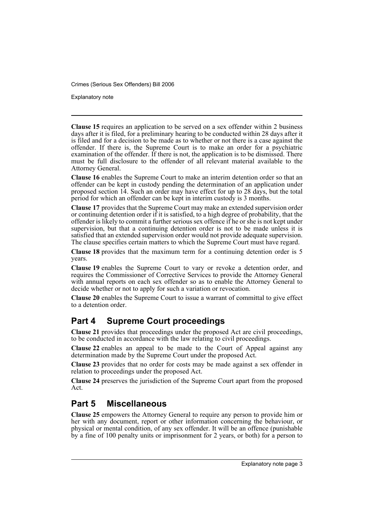Explanatory note

**Clause 15** requires an application to be served on a sex offender within 2 business days after it is filed, for a preliminary hearing to be conducted within 28 days after it is filed and for a decision to be made as to whether or not there is a case against the offender. If there is, the Supreme Court is to make an order for a psychiatric examination of the offender. If there is not, the application is to be dismissed. There must be full disclosure to the offender of all relevant material available to the Attorney General.

**Clause 16** enables the Supreme Court to make an interim detention order so that an offender can be kept in custody pending the determination of an application under proposed section 14. Such an order may have effect for up to 28 days, but the total period for which an offender can be kept in interim custody is 3 months.

**Clause 17** provides that the Supreme Court may make an extended supervision order or continuing detention order if it is satisfied, to a high degree of probability, that the offender is likely to commit a further serious sex offence if he or she is not kept under supervision, but that a continuing detention order is not to be made unless it is satisfied that an extended supervision order would not provide adequate supervision. The clause specifies certain matters to which the Supreme Court must have regard.

**Clause 18** provides that the maximum term for a continuing detention order is 5 years.

**Clause 19** enables the Supreme Court to vary or revoke a detention order, and requires the Commissioner of Corrective Services to provide the Attorney General with annual reports on each sex offender so as to enable the Attorney General to decide whether or not to apply for such a variation or revocation.

**Clause 20** enables the Supreme Court to issue a warrant of committal to give effect to a detention order.

## **Part 4 Supreme Court proceedings**

**Clause 21** provides that proceedings under the proposed Act are civil proceedings, to be conducted in accordance with the law relating to civil proceedings.

**Clause 22** enables an appeal to be made to the Court of Appeal against any determination made by the Supreme Court under the proposed Act.

**Clause 23** provides that no order for costs may be made against a sex offender in relation to proceedings under the proposed Act.

**Clause 24** preserves the jurisdiction of the Supreme Court apart from the proposed Act.

## **Part 5 Miscellaneous**

**Clause 25** empowers the Attorney General to require any person to provide him or her with any document, report or other information concerning the behaviour, or physical or mental condition, of any sex offender. It will be an offence (punishable by a fine of 100 penalty units or imprisonment for 2 years, or both) for a person to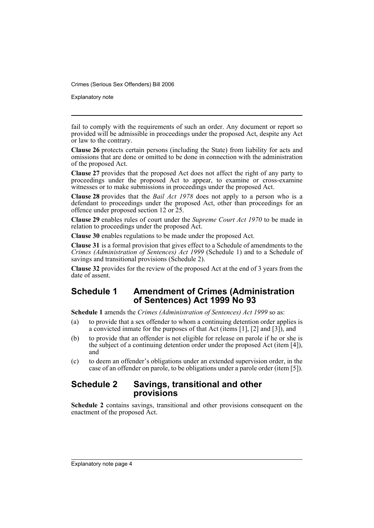Explanatory note

fail to comply with the requirements of such an order. Any document or report so provided will be admissible in proceedings under the proposed Act, despite any Act or law to the contrary.

**Clause 26** protects certain persons (including the State) from liability for acts and omissions that are done or omitted to be done in connection with the administration of the proposed Act.

**Clause 27** provides that the proposed Act does not affect the right of any party to proceedings under the proposed Act to appear, to examine or cross-examine witnesses or to make submissions in proceedings under the proposed Act.

**Clause 28** provides that the *Bail Act 1978* does not apply to a person who is a defendant to proceedings under the proposed Act, other than proceedings for an offence under proposed section 12 or 25.

**Clause 29** enables rules of court under the *Supreme Court Act 1970* to be made in relation to proceedings under the proposed Act.

**Clause 30** enables regulations to be made under the proposed Act.

**Clause 31** is a formal provision that gives effect to a Schedule of amendments to the *Crimes (Administration of Sentences) Act 1999* (Schedule 1) and to a Schedule of savings and transitional provisions (Schedule 2).

**Clause 32** provides for the review of the proposed Act at the end of 3 years from the date of assent.

### **Schedule 1 Amendment of Crimes (Administration of Sentences) Act 1999 No 93**

**Schedule 1** amends the *Crimes (Administration of Sentences) Act 1999* so as:

- (a) to provide that a sex offender to whom a continuing detention order applies is a convicted inmate for the purposes of that Act (items [1], [2] and [3]), and
- (b) to provide that an offender is not eligible for release on parole if he or she is the subject of a continuing detention order under the proposed Act (item [4]), and
- (c) to deem an offender's obligations under an extended supervision order, in the case of an offender on parole, to be obligations under a parole order (item [5]).

### **Schedule 2 Savings, transitional and other provisions**

**Schedule 2** contains savings, transitional and other provisions consequent on the enactment of the proposed Act.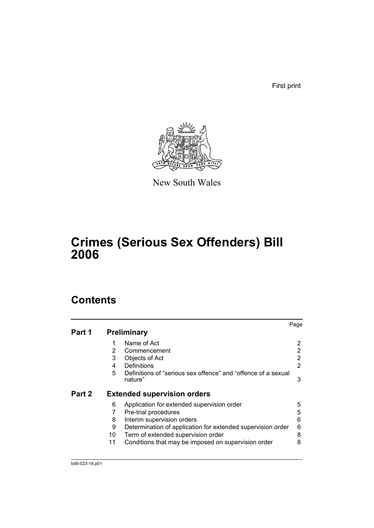First print



New South Wales

# **Crimes (Serious Sex Offenders) Bill 2006**

## **Contents**

|        |    |                                                                          | Page |
|--------|----|--------------------------------------------------------------------------|------|
| Part 1 |    | <b>Preliminary</b>                                                       |      |
|        |    | Name of Act                                                              |      |
|        | 2  | Commencement                                                             | 2    |
|        | 3  | Objects of Act                                                           | 2    |
|        | 4  | Definitions                                                              | 2    |
|        | 5  | Definitions of "serious sex offence" and "offence of a sexual<br>nature" | 3    |
| Part 2 |    | <b>Extended supervision orders</b>                                       |      |
|        | 6  | Application for extended supervision order                               | 5    |
|        | 7  | Pre-trial procedures                                                     | 5    |
|        | 8  | Interim supervision orders                                               | 6    |
|        | 9  | Determination of application for extended supervision order              | 6    |
|        | 10 | Term of extended supervision order                                       | 8    |
|        | 11 | Conditions that may be imposed on supervision order                      | 8    |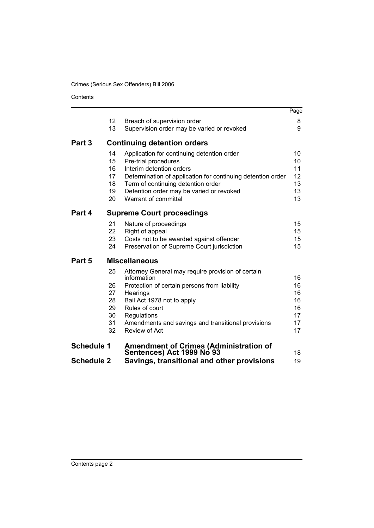Contents

|                   |          |                                                                            | Page     |
|-------------------|----------|----------------------------------------------------------------------------|----------|
|                   | 12       | Breach of supervision order                                                | 8        |
|                   | 13       | Supervision order may be varied or revoked                                 | 9        |
| Part 3            |          | <b>Continuing detention orders</b>                                         |          |
|                   | 14       | Application for continuing detention order                                 | 10       |
|                   | 15       | Pre-trial procedures                                                       | 10       |
|                   | 16       | Interim detention orders                                                   | 11       |
|                   | 17       | Determination of application for continuing detention order                | 12       |
|                   | 18       | Term of continuing detention order                                         | 13       |
|                   | 19       | Detention order may be varied or revoked                                   | 13       |
|                   | 20       | Warrant of committal                                                       | 13       |
| Part 4            |          | <b>Supreme Court proceedings</b>                                           |          |
|                   | 21       | Nature of proceedings                                                      | 15       |
|                   | 22       | Right of appeal                                                            | 15       |
|                   | 23       | Costs not to be awarded against offender                                   | 15       |
|                   | 24       | Preservation of Supreme Court jurisdiction                                 | 15       |
| Part 5            |          | <b>Miscellaneous</b>                                                       |          |
|                   | 25       | Attorney General may require provision of certain                          |          |
|                   |          | information                                                                | 16       |
|                   | 26       | Protection of certain persons from liability                               | 16       |
|                   | 27       | Hearings                                                                   | 16       |
|                   | 28       | Bail Act 1978 not to apply                                                 | 16       |
|                   | 29<br>30 | Rules of court                                                             | 16<br>17 |
|                   | 31       | Regulations<br>Amendments and savings and transitional provisions          | 17       |
|                   | 32       | Review of Act                                                              | 17       |
|                   |          |                                                                            |          |
| <b>Schedule 1</b> |          | <b>Amendment of Crimes (Administration of</b><br>Sentences) Act 1999 No 93 | 18       |
| <b>Schedule 2</b> |          | Savings, transitional and other provisions                                 | 19       |
|                   |          |                                                                            |          |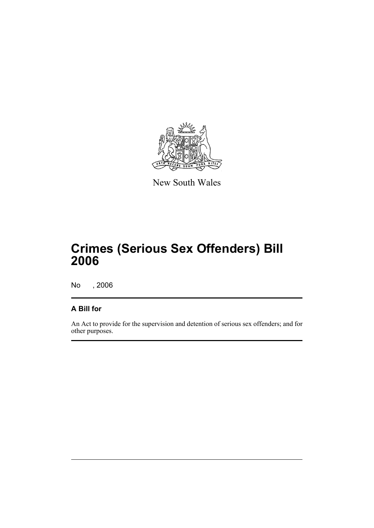

New South Wales

## **Crimes (Serious Sex Offenders) Bill 2006**

No , 2006

## **A Bill for**

An Act to provide for the supervision and detention of serious sex offenders; and for other purposes.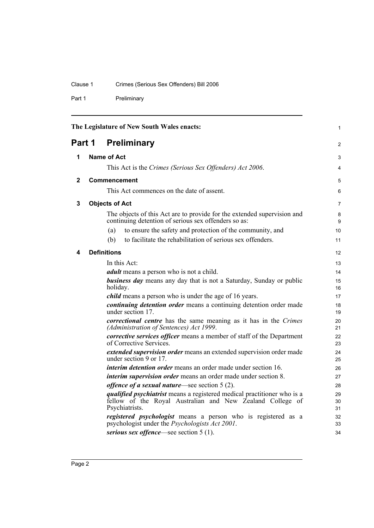## Clause 1 Crimes (Serious Sex Offenders) Bill 2006

Part 1 Preliminary

<span id="page-7-4"></span><span id="page-7-3"></span><span id="page-7-2"></span><span id="page-7-1"></span><span id="page-7-0"></span>

| The Legislature of New South Wales enacts: |                    |                                                                                                                                                               | $\mathbf{1}$   |
|--------------------------------------------|--------------------|---------------------------------------------------------------------------------------------------------------------------------------------------------------|----------------|
| <b>Preliminary</b><br>Part 1               |                    |                                                                                                                                                               |                |
| 1                                          | <b>Name of Act</b> |                                                                                                                                                               |                |
|                                            |                    | This Act is the Crimes (Serious Sex Offenders) Act 2006.                                                                                                      | 4              |
| $\mathbf{2}$                               |                    | <b>Commencement</b>                                                                                                                                           | 5              |
|                                            |                    | This Act commences on the date of assent.                                                                                                                     | 6              |
| 3                                          |                    | <b>Objects of Act</b>                                                                                                                                         | $\overline{7}$ |
|                                            |                    | The objects of this Act are to provide for the extended supervision and<br>continuing detention of serious sex offenders so as:                               | 8<br>9         |
|                                            |                    | to ensure the safety and protection of the community, and<br>(a)                                                                                              | 10             |
|                                            |                    | to facilitate the rehabilitation of serious sex offenders.<br>(b)                                                                                             | 11             |
| 4                                          |                    | <b>Definitions</b>                                                                                                                                            | 12             |
|                                            |                    | In this Act:                                                                                                                                                  | 13             |
|                                            |                    | <i>adult</i> means a person who is not a child.                                                                                                               | 14             |
|                                            |                    | <b>business day</b> means any day that is not a Saturday, Sunday or public<br>holiday.                                                                        | 15<br>16       |
|                                            |                    | <i>child</i> means a person who is under the age of 16 years.                                                                                                 | 17             |
|                                            |                    | continuing detention order means a continuing detention order made<br>under section 17.                                                                       | 18<br>19       |
|                                            |                    | <i>correctional centre</i> has the same meaning as it has in the <i>Crimes</i><br>(Administration of Sentences) Act 1999.                                     | 20<br>21       |
|                                            |                    | corrective services officer means a member of staff of the Department<br>of Corrective Services.                                                              | 22<br>23       |
|                                            |                    | <i>extended supervision order</i> means an extended supervision order made<br>under section 9 or 17.                                                          | 24<br>25       |
|                                            |                    | <i>interim detention order</i> means an order made under section 16.                                                                                          | 26             |
|                                            |                    | <i>interim supervision order</i> means an order made under section 8.                                                                                         | 27             |
|                                            |                    | <i>offence of a sexual nature</i> —see section $5(2)$ .                                                                                                       | 28             |
|                                            |                    | <i>qualified psychiatrist</i> means a registered medical practitioner who is a<br>fellow of the Royal Australian and New Zealand College of<br>Psychiatrists. | 29<br>30<br>31 |
|                                            |                    | registered psychologist means a person who is registered as a<br>psychologist under the <i>Psychologists Act 2001</i> .                                       | 32<br>33       |
|                                            |                    | serious sex offence—see section $5(1)$ .                                                                                                                      | 34             |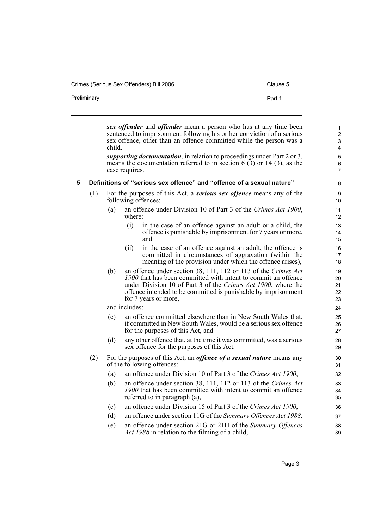Crimes (Serious Sex Offenders) Bill 2006 Clause 5

<span id="page-8-0"></span>

|   |     | child. | case requires. | sex offender and offender mean a person who has at any time been<br>sentenced to imprisonment following his or her conviction of a serious<br>sex offence, other than an offence committed while the person was a<br>supporting documentation, in relation to proceedings under Part 2 or 3,<br>means the documentation referred to in section $6(3)$ or 14 (3), as the | 1<br>$\overline{\mathbf{c}}$<br>3<br>4<br>5<br>6<br>7 |
|---|-----|--------|----------------|-------------------------------------------------------------------------------------------------------------------------------------------------------------------------------------------------------------------------------------------------------------------------------------------------------------------------------------------------------------------------|-------------------------------------------------------|
| 5 |     |        |                | Definitions of "serious sex offence" and "offence of a sexual nature"                                                                                                                                                                                                                                                                                                   | 8                                                     |
|   | (1) |        |                | For the purposes of this Act, a <b>serious sex offence</b> means any of the<br>following offences:                                                                                                                                                                                                                                                                      | 9<br>10                                               |
|   |     | (a)    | where:         | an offence under Division 10 of Part 3 of the Crimes Act 1900,                                                                                                                                                                                                                                                                                                          | 11<br>12                                              |
|   |     |        | (i)            | in the case of an offence against an adult or a child, the<br>offence is punishable by imprisonment for 7 years or more,<br>and                                                                                                                                                                                                                                         | 13<br>14<br>15                                        |
|   |     |        | (ii)           | in the case of an offence against an adult, the offence is<br>committed in circumstances of aggravation (within the<br>meaning of the provision under which the offence arises),                                                                                                                                                                                        | 16<br>17<br>18                                        |
|   |     | (b)    |                | an offence under section 38, 111, 112 or 113 of the Crimes Act<br>1900 that has been committed with intent to commit an offence<br>under Division 10 of Part 3 of the Crimes Act 1900, where the<br>offence intended to be committed is punishable by imprisonment<br>for 7 years or more,                                                                              | 19<br>20<br>21<br>22<br>23                            |
|   |     |        | and includes:  |                                                                                                                                                                                                                                                                                                                                                                         | 24                                                    |
|   |     | (c)    |                | an offence committed elsewhere than in New South Wales that,<br>if committed in New South Wales, would be a serious sex offence<br>for the purposes of this Act, and                                                                                                                                                                                                    | 25<br>26<br>27                                        |
|   |     | (d)    |                | any other offence that, at the time it was committed, was a serious<br>sex offence for the purposes of this Act.                                                                                                                                                                                                                                                        | 28<br>29                                              |
|   | (2) |        |                | For the purposes of this Act, an <i>offence of a sexual nature</i> means any<br>of the following offences:                                                                                                                                                                                                                                                              | 30<br>31                                              |
|   |     | (a)    |                | an offence under Division 10 of Part 3 of the Crimes Act 1900,                                                                                                                                                                                                                                                                                                          | 32                                                    |
|   |     | (b)    |                | an offence under section 38, 111, 112 or 113 of the Crimes Act<br>1900 that has been committed with intent to commit an offence<br>referred to in paragraph (a),                                                                                                                                                                                                        | 33<br>34<br>35                                        |
|   |     | (c)    |                | an offence under Division 15 of Part 3 of the Crimes Act 1900,                                                                                                                                                                                                                                                                                                          | 36                                                    |
|   |     | (d)    |                | an offence under section 11G of the Summary Offences Act 1988,                                                                                                                                                                                                                                                                                                          | 37                                                    |
|   |     | (e)    |                | an offence under section 21G or 21H of the Summary Offences<br>Act 1988 in relation to the filming of a child,                                                                                                                                                                                                                                                          | 38<br>39                                              |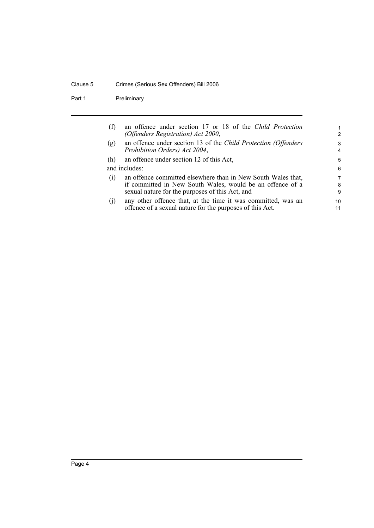### Clause 5 Crimes (Serious Sex Offenders) Bill 2006

Part 1 Preliminary

| (f)               | an offence under section 17 or 18 of the Child Protection<br>(Offenders Registration) Act 2000,                                                                              | $\mathbf 1$<br>$\mathcal{P}$ |
|-------------------|------------------------------------------------------------------------------------------------------------------------------------------------------------------------------|------------------------------|
| (g)               | an offence under section 13 of the Child Protection (Offenders<br>Prohibition Orders) Act 2004,                                                                              | 3<br>$\overline{a}$          |
| (h)               | an offence under section 12 of this Act,                                                                                                                                     | 5                            |
|                   | and includes:                                                                                                                                                                | 6                            |
| $\left( 1\right)$ | an offence committed elsewhere than in New South Wales that,<br>if committed in New South Wales, would be an offence of a<br>sexual nature for the purposes of this Act, and | 7<br>8<br>9                  |
| (1)               | any other offence that, at the time it was committed, was an<br>offence of a sexual nature for the purposes of this Act.                                                     | 10<br>11                     |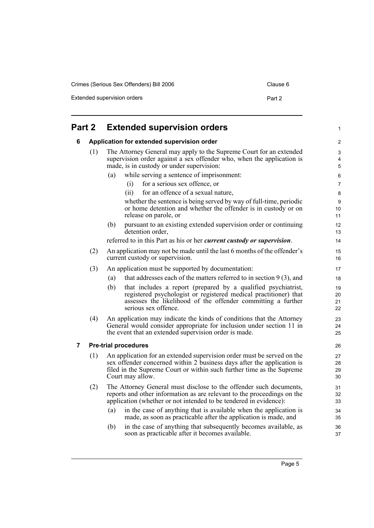Crimes (Serious Sex Offenders) Bill 2006 Clause 6

Extended supervision orders **Part 2** 

<span id="page-10-2"></span><span id="page-10-1"></span><span id="page-10-0"></span>

| Part 2 |     | <b>Extended supervision orders</b>         |                                                                                                                                                                                                                           | 1                          |
|--------|-----|--------------------------------------------|---------------------------------------------------------------------------------------------------------------------------------------------------------------------------------------------------------------------------|----------------------------|
| 6      |     | Application for extended supervision order |                                                                                                                                                                                                                           |                            |
|        | (1) | made, is in custody or under supervision:  | The Attorney General may apply to the Supreme Court for an extended<br>supervision order against a sex offender who, when the application is                                                                              | 3<br>4<br>5                |
|        |     | (a)                                        | while serving a sentence of imprisonment:                                                                                                                                                                                 | 6                          |
|        |     | (i)                                        | for a serious sex offence, or                                                                                                                                                                                             | 7                          |
|        |     | (ii)                                       | for an offence of a sexual nature,                                                                                                                                                                                        | 8                          |
|        |     | release on parole, or                      | whether the sentence is being served by way of full-time, periodic<br>or home detention and whether the offender is in custody or on                                                                                      | 9<br>10 <sup>°</sup><br>11 |
|        |     | (b)<br>detention order,                    | pursuant to an existing extended supervision order or continuing                                                                                                                                                          | 12<br>13                   |
|        |     |                                            | referred to in this Part as his or her <i>current custody or supervision</i> .                                                                                                                                            | 14                         |
|        | (2) | current custody or supervision.            | An application may not be made until the last 6 months of the offender's                                                                                                                                                  | 15<br>16                   |
|        | (3) |                                            | An application must be supported by documentation:                                                                                                                                                                        | 17                         |
|        |     | (a)                                        | that addresses each of the matters referred to in section $9(3)$ , and                                                                                                                                                    | 18                         |
|        |     | (b)<br>serious sex offence.                | that includes a report (prepared by a qualified psychiatrist,<br>registered psychologist or registered medical practitioner) that<br>assesses the likelihood of the offender committing a further                         | 19<br>20<br>21<br>22       |
|        | (4) |                                            | An application may indicate the kinds of conditions that the Attorney<br>General would consider appropriate for inclusion under section 11 in<br>the event that an extended supervision order is made.                    | 23<br>24<br>25             |
| 7      |     | <b>Pre-trial procedures</b>                |                                                                                                                                                                                                                           | 26                         |
|        | (1) | Court may allow.                           | An application for an extended supervision order must be served on the<br>sex offender concerned within 2 business days after the application is<br>filed in the Supreme Court or within such further time as the Supreme | 27<br>28<br>29<br>30       |
|        | (2) |                                            | The Attorney General must disclose to the offender such documents,<br>reports and other information as are relevant to the proceedings on the<br>application (whether or not intended to be tendered in evidence):        | 31<br>32<br>33             |
|        |     | (a)                                        | in the case of anything that is available when the application is<br>made, as soon as practicable after the application is made, and                                                                                      | 34<br>35                   |
|        |     | (b)                                        | in the case of anything that subsequently becomes available, as<br>soon as practicable after it becomes available.                                                                                                        | 36<br>37                   |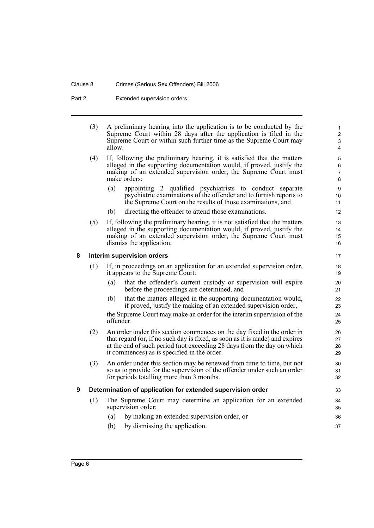#### Clause 8 Crimes (Serious Sex Offenders) Bill 2006

Part 2 Extended supervision orders

| (3) | A preliminary hearing into the application is to be conducted by the |
|-----|----------------------------------------------------------------------|
|     | Supreme Court within 28 days after the application is filed in the   |
|     | Supreme Court or within such further time as the Supreme Court may   |
|     | allow.                                                               |

- (4) If, following the preliminary hearing, it is satisfied that the matters alleged in the supporting documentation would, if proved, justify the making of an extended supervision order, the Supreme Court must make orders:
	- (a) appointing 2 qualified psychiatrists to conduct separate psychiatric examinations of the offender and to furnish reports to the Supreme Court on the results of those examinations, and
	- (b) directing the offender to attend those examinations.
- (5) If, following the preliminary hearing, it is not satisfied that the matters alleged in the supporting documentation would, if proved, justify the making of an extended supervision order, the Supreme Court must dismiss the application.

#### <span id="page-11-0"></span>**8 Interim supervision orders**

- (1) If, in proceedings on an application for an extended supervision order, it appears to the Supreme Court:
	- (a) that the offender's current custody or supervision will expire before the proceedings are determined, and
	- (b) that the matters alleged in the supporting documentation would, if proved, justify the making of an extended supervision order,

the Supreme Court may make an order for the interim supervision of the offender.

- (2) An order under this section commences on the day fixed in the order in that regard (or, if no such day is fixed, as soon as it is made) and expires at the end of such period (not exceeding 28 days from the day on which it commences) as is specified in the order.
- (3) An order under this section may be renewed from time to time, but not so as to provide for the supervision of the offender under such an order for periods totalling more than 3 months.

### <span id="page-11-1"></span>**9 Determination of application for extended supervision order**

- (1) The Supreme Court may determine an application for an extended supervision order:
	- (a) by making an extended supervision order, or
	- (b) by dismissing the application.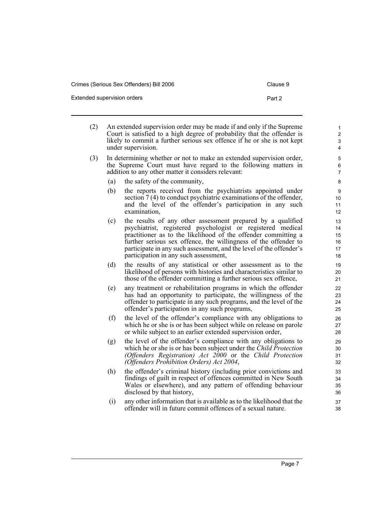| Extended supervision orders | Part 2 |
|-----------------------------|--------|
|                             |        |

- (2) An extended supervision order may be made if and only if the Supreme Court is satisfied to a high degree of probability that the offender is likely to commit a further serious sex offence if he or she is not kept under supervision.
- (3) In determining whether or not to make an extended supervision order, the Supreme Court must have regard to the following matters in addition to any other matter it considers relevant:
	- (a) the safety of the community,
	- (b) the reports received from the psychiatrists appointed under section 7 (4) to conduct psychiatric examinations of the offender, and the level of the offender's participation in any such examination,
	- (c) the results of any other assessment prepared by a qualified psychiatrist, registered psychologist or registered medical practitioner as to the likelihood of the offender committing a further serious sex offence, the willingness of the offender to participate in any such assessment, and the level of the offender's participation in any such assessment,
	- (d) the results of any statistical or other assessment as to the likelihood of persons with histories and characteristics similar to those of the offender committing a further serious sex offence,
	- (e) any treatment or rehabilitation programs in which the offender has had an opportunity to participate, the willingness of the offender to participate in any such programs, and the level of the offender's participation in any such programs,
	- (f) the level of the offender's compliance with any obligations to which he or she is or has been subject while on release on parole or while subject to an earlier extended supervision order,
	- (g) the level of the offender's compliance with any obligations to which he or she is or has been subject under the *Child Protection (Offenders Registration) Act 2000* or the *Child Protection (Offenders Prohibition Orders) Act 2004*,
	- (h) the offender's criminal history (including prior convictions and findings of guilt in respect of offences committed in New South Wales or elsewhere), and any pattern of offending behaviour disclosed by that history,
	- (i) any other information that is available as to the likelihood that the offender will in future commit offences of a sexual nature.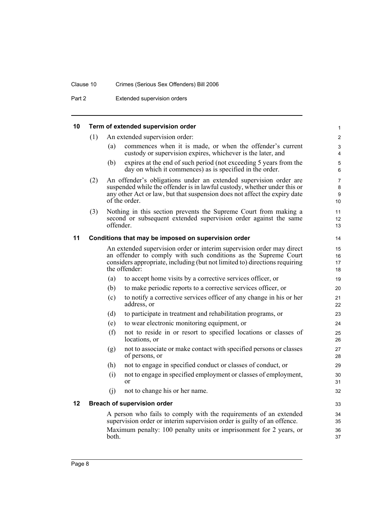### Clause 10 Crimes (Serious Sex Offenders) Bill 2006

Part 2 **Extended supervision orders** 

## <span id="page-13-0"></span>**10 Term of extended supervision order**

<span id="page-13-2"></span><span id="page-13-1"></span>

| 10 |     |           | Term of extended supervision order                                                                                                                                                                                                          | 1                              |
|----|-----|-----------|---------------------------------------------------------------------------------------------------------------------------------------------------------------------------------------------------------------------------------------------|--------------------------------|
|    | (1) |           | An extended supervision order:                                                                                                                                                                                                              | $\overline{2}$                 |
|    |     | (a)       | commences when it is made, or when the offender's current<br>custody or supervision expires, whichever is the later, and                                                                                                                    | 3<br>4                         |
|    |     | (b)       | expires at the end of such period (not exceeding 5 years from the<br>day on which it commences) as is specified in the order.                                                                                                               | 5<br>6                         |
|    | (2) |           | An offender's obligations under an extended supervision order are<br>suspended while the offender is in lawful custody, whether under this or<br>any other Act or law, but that suspension does not affect the expiry date<br>of the order. | $\overline{7}$<br>8<br>9<br>10 |
|    | (3) | offender. | Nothing in this section prevents the Supreme Court from making a<br>second or subsequent extended supervision order against the same                                                                                                        | 11<br>12<br>13                 |
| 11 |     |           | Conditions that may be imposed on supervision order                                                                                                                                                                                         | 14                             |
|    |     |           | An extended supervision order or interim supervision order may direct<br>an offender to comply with such conditions as the Supreme Court<br>considers appropriate, including (but not limited to) directions requiring<br>the offender:     | 15<br>16<br>17<br>18           |
|    |     | (a)       | to accept home visits by a corrective services officer, or                                                                                                                                                                                  | 19                             |
|    |     | (b)       | to make periodic reports to a corrective services officer, or                                                                                                                                                                               | 20                             |
|    |     | (c)       | to notify a corrective services officer of any change in his or her<br>address, or                                                                                                                                                          | 21<br>22                       |
|    |     | (d)       | to participate in treatment and rehabilitation programs, or                                                                                                                                                                                 | 23                             |
|    |     | (e)       | to wear electronic monitoring equipment, or                                                                                                                                                                                                 | 24                             |
|    |     | (f)       | not to reside in or resort to specified locations or classes of<br>locations, or                                                                                                                                                            | 25<br>26                       |
|    |     | (g)       | not to associate or make contact with specified persons or classes<br>of persons, or                                                                                                                                                        | 27<br>28                       |
|    |     | (h)       | not to engage in specified conduct or classes of conduct, or                                                                                                                                                                                | 29                             |
|    |     | (i)       | not to engage in specified employment or classes of employment,<br><sub>or</sub>                                                                                                                                                            | 30<br>31                       |
|    |     | (i)       | not to change his or her name.                                                                                                                                                                                                              | 32                             |
| 12 |     |           | <b>Breach of supervision order</b>                                                                                                                                                                                                          | 33                             |
|    |     |           | A person who fails to comply with the requirements of an extended<br>supervision order or interim supervision order is guilty of an offence.<br>Maximum penalty: 100 penalty units or imprisonment for 2 years, or                          | 34<br>35<br>36                 |
|    |     | both.     |                                                                                                                                                                                                                                             | 37                             |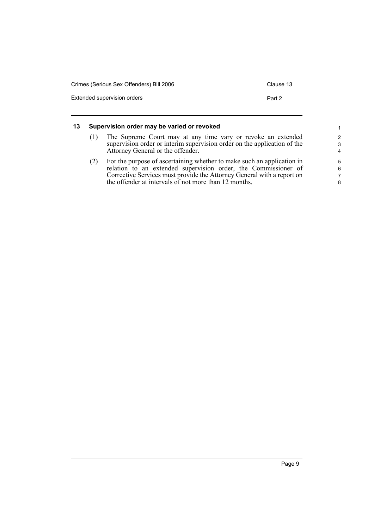| Crimes (Serious Sex Offenders) Bill 2006 | Clause 13 |
|------------------------------------------|-----------|
| Extended supervision orders              | Part 2    |

#### <span id="page-14-0"></span>**13 Supervision order may be varied or revoked**

- (1) The Supreme Court may at any time vary or revoke an extended supervision order or interim supervision order on the application of the Attorney General or the offender.
- (2) For the purpose of ascertaining whether to make such an application in relation to an extended supervision order, the Commissioner of Corrective Services must provide the Attorney General with a report on the offender at intervals of not more than 12 months.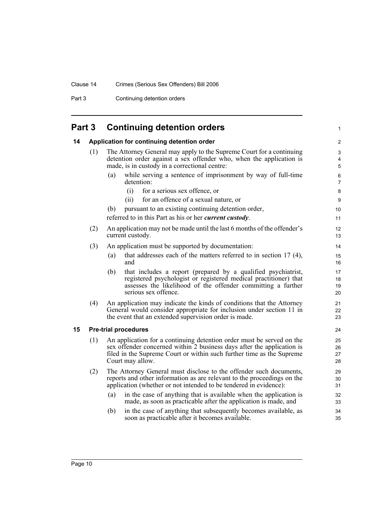Part 3 Continuing detention orders

<span id="page-15-2"></span><span id="page-15-1"></span><span id="page-15-0"></span>

| Part 3 |                             | <b>Continuing detention orders</b>                                                                                                                                                                                                           |                      |  |
|--------|-----------------------------|----------------------------------------------------------------------------------------------------------------------------------------------------------------------------------------------------------------------------------------------|----------------------|--|
| 14     |                             | Application for continuing detention order                                                                                                                                                                                                   |                      |  |
|        | (1)                         | The Attorney General may apply to the Supreme Court for a continuing<br>detention order against a sex offender who, when the application is<br>made, is in custody in a correctional centre:                                                 | 3<br>4<br>5          |  |
|        |                             | while serving a sentence of imprisonment by way of full-time<br>(a)<br>detention:                                                                                                                                                            | 6<br>$\overline{7}$  |  |
|        |                             | (i)<br>for a serious sex offence, or                                                                                                                                                                                                         | $\bf 8$              |  |
|        |                             | for an offence of a sexual nature, or<br>(ii)                                                                                                                                                                                                | 9                    |  |
|        |                             | pursuant to an existing continuing detention order,<br>(b)                                                                                                                                                                                   | 10                   |  |
|        |                             | referred to in this Part as his or her <i>current custody</i> .                                                                                                                                                                              | 11                   |  |
|        | (2)                         | An application may not be made until the last 6 months of the offender's<br>current custody.                                                                                                                                                 | 12<br>13             |  |
|        | (3)                         | An application must be supported by documentation:                                                                                                                                                                                           | 14                   |  |
|        |                             | that addresses each of the matters referred to in section $17(4)$ ,<br>(a)<br>and                                                                                                                                                            | 15<br>16             |  |
|        |                             | that includes a report (prepared by a qualified psychiatrist,<br>(b)<br>registered psychologist or registered medical practitioner) that<br>assesses the likelihood of the offender committing a further<br>serious sex offence.             | 17<br>18<br>19<br>20 |  |
|        | (4)                         | An application may indicate the kinds of conditions that the Attorney<br>General would consider appropriate for inclusion under section 11 in<br>the event that an extended supervision order is made.                                       | 21<br>22<br>23       |  |
| 15     | <b>Pre-trial procedures</b> |                                                                                                                                                                                                                                              |                      |  |
|        | (1)                         | An application for a continuing detention order must be served on the<br>sex offender concerned within 2 business days after the application is<br>filed in the Supreme Court or within such further time as the Supreme<br>Court may allow. | 25<br>26<br>27<br>28 |  |
|        | (2)                         | The Attorney General must disclose to the offender such documents,<br>reports and other information as are relevant to the proceedings on the<br>application (whether or not intended to be tendered in evidence):                           | 29<br>30<br>31       |  |
|        |                             | in the case of anything that is available when the application is<br>(a)<br>made, as soon as practicable after the application is made, and                                                                                                  | 32<br>33             |  |
|        |                             | in the case of anything that subsequently becomes available, as<br>(b)<br>soon as practicable after it becomes available.                                                                                                                    | 34<br>35             |  |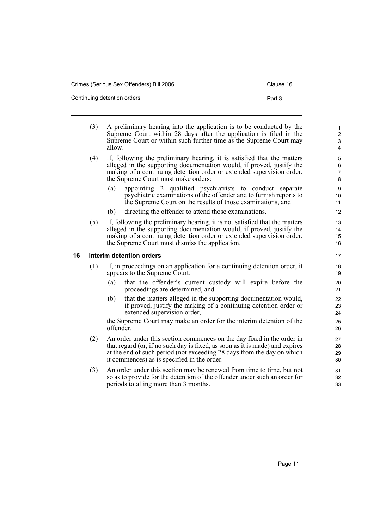- (3) A preliminary hearing into the application is to be conducted by the Supreme Court within 28 days after the application is filed in the Supreme Court or within such further time as the Supreme Court may allow.
- (4) If, following the preliminary hearing, it is satisfied that the matters alleged in the supporting documentation would, if proved, justify the making of a continuing detention order or extended supervision order, the Supreme Court must make orders:
	- (a) appointing 2 qualified psychiatrists to conduct separate psychiatric examinations of the offender and to furnish reports to the Supreme Court on the results of those examinations, and
	- (b) directing the offender to attend those examinations.
- (5) If, following the preliminary hearing, it is not satisfied that the matters alleged in the supporting documentation would, if proved, justify the making of a continuing detention order or extended supervision order, the Supreme Court must dismiss the application.

#### <span id="page-16-0"></span>**16 Interim detention orders**

- (1) If, in proceedings on an application for a continuing detention order, it appears to the Supreme Court:
	- (a) that the offender's current custody will expire before the proceedings are determined, and
	- (b) that the matters alleged in the supporting documentation would, if proved, justify the making of a continuing detention order or extended supervision order,

the Supreme Court may make an order for the interim detention of the offender.

- (2) An order under this section commences on the day fixed in the order in that regard (or, if no such day is fixed, as soon as it is made) and expires at the end of such period (not exceeding 28 days from the day on which it commences) as is specified in the order.
- (3) An order under this section may be renewed from time to time, but not so as to provide for the detention of the offender under such an order for periods totalling more than 3 months.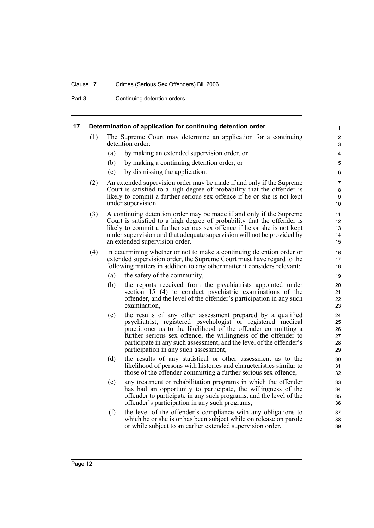#### Clause 17 Crimes (Serious Sex Offenders) Bill 2006

Part 3 Continuing detention orders

#### <span id="page-17-0"></span>**17 Determination of application for continuing detention order**

(1) The Supreme Court may determine an application for a continuing detention order:

- (a) by making an extended supervision order, or
- (b) by making a continuing detention order, or
- (c) by dismissing the application.
- (2) An extended supervision order may be made if and only if the Supreme Court is satisfied to a high degree of probability that the offender is likely to commit a further serious sex offence if he or she is not kept under supervision.
- (3) A continuing detention order may be made if and only if the Supreme Court is satisfied to a high degree of probability that the offender is likely to commit a further serious sex offence if he or she is not kept under supervision and that adequate supervision will not be provided by an extended supervision order.
- (4) In determining whether or not to make a continuing detention order or extended supervision order, the Supreme Court must have regard to the following matters in addition to any other matter it considers relevant:
	- (a) the safety of the community,
	- (b) the reports received from the psychiatrists appointed under section 15 (4) to conduct psychiatric examinations of the offender, and the level of the offender's participation in any such examination,
	- (c) the results of any other assessment prepared by a qualified psychiatrist, registered psychologist or registered medical practitioner as to the likelihood of the offender committing a further serious sex offence, the willingness of the offender to participate in any such assessment, and the level of the offender's participation in any such assessment,
	- (d) the results of any statistical or other assessment as to the likelihood of persons with histories and characteristics similar to those of the offender committing a further serious sex offence,
	- (e) any treatment or rehabilitation programs in which the offender has had an opportunity to participate, the willingness of the offender to participate in any such programs, and the level of the offender's participation in any such programs,
	- (f) the level of the offender's compliance with any obligations to which he or she is or has been subject while on release on parole or while subject to an earlier extended supervision order,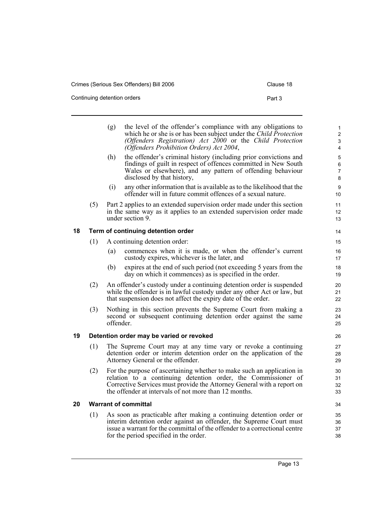Continuing detention orders example of the continuing detention orders and the continuing  $P$ art 3

| Clause 18 |  |
|-----------|--|
|-----------|--|

<span id="page-18-2"></span><span id="page-18-1"></span><span id="page-18-0"></span>

|    |     | (g)       | the level of the offender's compliance with any obligations to<br>which he or she is or has been subject under the Child Protection<br>(Offenders Registration) Act 2000 or the Child Protection<br>(Offenders Prohibition Orders) Act 2004,                               | 1<br>$\boldsymbol{2}$<br>3<br>$\overline{\mathbf{4}}$ |
|----|-----|-----------|----------------------------------------------------------------------------------------------------------------------------------------------------------------------------------------------------------------------------------------------------------------------------|-------------------------------------------------------|
|    |     | (h)       | the offender's criminal history (including prior convictions and<br>findings of guilt in respect of offences committed in New South<br>Wales or elsewhere), and any pattern of offending behaviour<br>disclosed by that history,                                           | $\mathbf 5$<br>6<br>$\overline{7}$<br>8               |
|    |     | (i)       | any other information that is available as to the likelihood that the<br>offender will in future commit offences of a sexual nature.                                                                                                                                       | 9<br>10                                               |
|    | (5) |           | Part 2 applies to an extended supervision order made under this section<br>in the same way as it applies to an extended supervision order made<br>under section 9.                                                                                                         | 11<br>12<br>13                                        |
| 18 |     |           | Term of continuing detention order                                                                                                                                                                                                                                         | 14                                                    |
|    | (1) |           | A continuing detention order:                                                                                                                                                                                                                                              | 15                                                    |
|    |     | (a)       | commences when it is made, or when the offender's current<br>custody expires, whichever is the later, and                                                                                                                                                                  | 16<br>17                                              |
|    |     | (b)       | expires at the end of such period (not exceeding 5 years from the<br>day on which it commences) as is specified in the order.                                                                                                                                              | 18<br>19                                              |
|    | (2) |           | An offender's custody under a continuing detention order is suspended<br>while the offender is in lawful custody under any other Act or law, but<br>that suspension does not affect the expiry date of the order.                                                          | 20<br>21<br>22                                        |
|    | (3) | offender. | Nothing in this section prevents the Supreme Court from making a<br>second or subsequent continuing detention order against the same                                                                                                                                       | 23<br>24<br>25                                        |
| 19 |     |           | Detention order may be varied or revoked                                                                                                                                                                                                                                   | 26                                                    |
|    | (1) |           | The Supreme Court may at any time vary or revoke a continuing<br>detention order or interim detention order on the application of the<br>Attorney General or the offender.                                                                                                 | 27<br>28<br>29                                        |
|    | (2) |           | For the purpose of ascertaining whether to make such an application in<br>relation to a continuing detention order, the Commissioner of<br>Corrective Services must provide the Attorney General with a report on<br>the offender at intervals of not more than 12 months. | 30<br>31<br>32<br>33                                  |
| 20 |     |           | <b>Warrant of committal</b>                                                                                                                                                                                                                                                | 34                                                    |
|    | (1) |           | As soon as practicable after making a continuing detention order or<br>interim detention order against an offender, the Supreme Court must<br>issue a warrant for the committal of the offender to a correctional centre<br>for the period specified in the order.         | 35<br>36<br>37<br>38                                  |
|    |     |           |                                                                                                                                                                                                                                                                            |                                                       |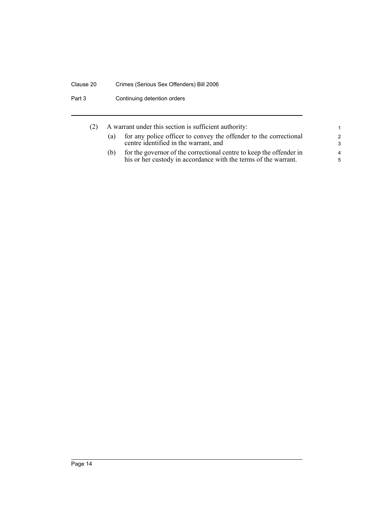## Clause 20 Crimes (Serious Sex Offenders) Bill 2006

Part 3 Continuing detention orders

| (2) | A warrant under this section is sufficient authority: |                                                                                                                                        |                |
|-----|-------------------------------------------------------|----------------------------------------------------------------------------------------------------------------------------------------|----------------|
|     | (a)                                                   | for any police officer to convey the offender to the correctional                                                                      | $\overline{2}$ |
|     |                                                       | centre identified in the warrant, and                                                                                                  | -3             |
|     | (b)                                                   | for the governor of the correctional centre to keep the offender in<br>his or her custody in accordance with the terms of the warrant. | 4<br>-5        |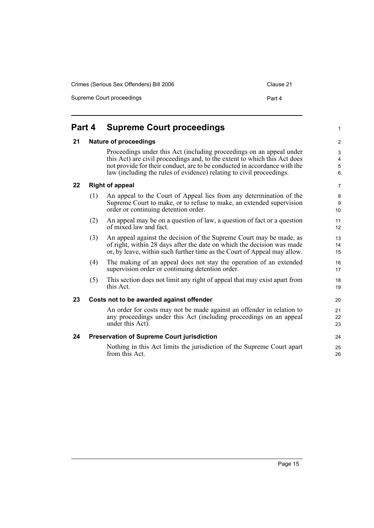Crimes (Serious Sex Offenders) Bill 2006 Clause 21

Supreme Court proceedings **Part 4** 

#### <span id="page-20-4"></span><span id="page-20-3"></span><span id="page-20-2"></span><span id="page-20-1"></span><span id="page-20-0"></span>**Part 4 Supreme Court proceedings 21 Nature of proceedings** Proceedings under this Act (including proceedings on an appeal under this Act) are civil proceedings and, to the extent to which this Act does not provide for their conduct, are to be conducted in accordance with the law (including the rules of evidence) relating to civil proceedings. **22 Right of appeal** (1) An appeal to the Court of Appeal lies from any determination of the Supreme Court to make, or to refuse to make, an extended supervision order or continuing detention order. (2) An appeal may be on a question of law, a question of fact or a question of mixed law and fact. (3) An appeal against the decision of the Supreme Court may be made, as of right, within 28 days after the date on which the decision was made or, by leave, within such further time as the Court of Appeal may allow. (4) The making of an appeal does not stay the operation of an extended supervision order or continuing detention order. (5) This section does not limit any right of appeal that may exist apart from this Act. **23 Costs not to be awarded against offender** An order for costs may not be made against an offender in relation to any proceedings under this Act (including proceedings on an appeal under this Act). **24 Preservation of Supreme Court jurisdiction** Nothing in this Act limits the jurisdiction of the Supreme Court apart from this Act. 1  $\overline{2}$ 3 4 5 6 7 8 9 10 11 12 13 14 15 16 17 18 19 20 21 22 23 24 25 26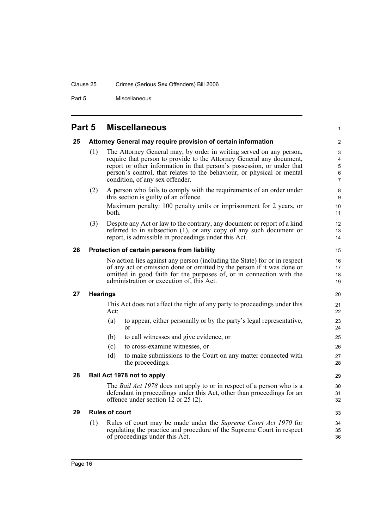#### Clause 25 Crimes (Serious Sex Offenders) Bill 2006

Part 5 Miscellaneous

## <span id="page-21-0"></span>**Part 5 Miscellaneous**

#### <span id="page-21-5"></span><span id="page-21-4"></span><span id="page-21-3"></span><span id="page-21-2"></span><span id="page-21-1"></span>**25 Attorney General may require provision of certain information** (1) The Attorney General may, by order in writing served on any person, require that person to provide to the Attorney General any document, report or other information in that person's possession, or under that person's control, that relates to the behaviour, or physical or mental condition, of any sex offender. (2) A person who fails to comply with the requirements of an order under this section is guilty of an offence. Maximum penalty: 100 penalty units or imprisonment for 2 years, or both. (3) Despite any Act or law to the contrary, any document or report of a kind referred to in subsection (1), or any copy of any such document or report, is admissible in proceedings under this Act. **26 Protection of certain persons from liability** No action lies against any person (including the State) for or in respect of any act or omission done or omitted by the person if it was done or omitted in good faith for the purposes of, or in connection with the administration or execution of, this Act. **27 Hearings** This Act does not affect the right of any party to proceedings under this Act: (a) to appear, either personally or by the party's legal representative, or (b) to call witnesses and give evidence, or (c) to cross-examine witnesses, or (d) to make submissions to the Court on any matter connected with the proceedings. **28 Bail Act 1978 not to apply** The *Bail Act 1978* does not apply to or in respect of a person who is a defendant in proceedings under this Act, other than proceedings for an offence under section 12 or 25 (2). **29 Rules of court** (1) Rules of court may be made under the *Supreme Court Act 1970* for regulating the practice and procedure of the Supreme Court in respect of proceedings under this Act.  $\mathfrak{p}$ 3 4 5 6 7 8 9 10 11 12 13 14 15 16 17 18 19 20 21 22  $23$ 24 25 26 27 28  $29$ 30 31 32 33 34 35 36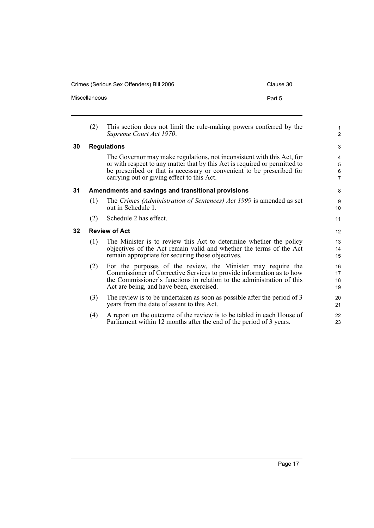Crimes (Serious Sex Offenders) Bill 2006 Clause 30

<span id="page-22-2"></span><span id="page-22-1"></span><span id="page-22-0"></span>

|                 | (2)                                                | This section does not limit the rule-making powers conferred by the<br>Supreme Court Act 1970.                                                                                                                                                                              | $\mathbf{1}$<br>$\overline{2}$ |
|-----------------|----------------------------------------------------|-----------------------------------------------------------------------------------------------------------------------------------------------------------------------------------------------------------------------------------------------------------------------------|--------------------------------|
| 30              |                                                    | <b>Regulations</b>                                                                                                                                                                                                                                                          | 3                              |
|                 |                                                    | The Governor may make regulations, not inconsistent with this Act, for<br>or with respect to any matter that by this Act is required or permitted to<br>be prescribed or that is necessary or convenient to be prescribed for<br>carrying out or giving effect to this Act. | 4<br>5<br>6<br>$\overline{7}$  |
| 31              | Amendments and savings and transitional provisions |                                                                                                                                                                                                                                                                             |                                |
|                 | (1)                                                | The Crimes (Administration of Sentences) Act 1999 is amended as set<br>out in Schedule 1.                                                                                                                                                                                   | 9<br>10                        |
|                 | (2)                                                | Schedule 2 has effect.                                                                                                                                                                                                                                                      | 11                             |
| 32 <sub>2</sub> | <b>Review of Act</b>                               |                                                                                                                                                                                                                                                                             |                                |
|                 | (1)                                                | The Minister is to review this Act to determine whether the policy<br>objectives of the Act remain valid and whether the terms of the Act<br>remain appropriate for securing those objectives.                                                                              | 13<br>14<br>15                 |
|                 | (2)                                                | For the purposes of the review, the Minister may require the<br>Commissioner of Corrective Services to provide information as to how<br>the Commissioner's functions in relation to the administration of this<br>Act are being, and have been, exercised.                  | 16<br>17<br>18<br>19           |
|                 | (3)                                                | The review is to be undertaken as soon as possible after the period of 3<br>years from the date of assent to this Act.                                                                                                                                                      | 20<br>21                       |
|                 | (4)                                                | A report on the outcome of the review is to be tabled in each House of<br>Parliament within 12 months after the end of the period of 3 years.                                                                                                                               | 22<br>23                       |

Miscellaneous **Part 5**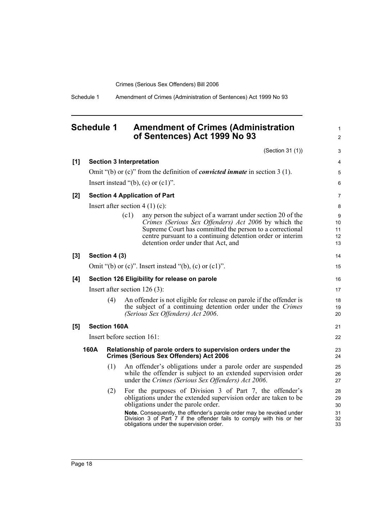Schedule 1 Amendment of Crimes (Administration of Sentences) Act 1999 No 93

## <span id="page-23-0"></span>**Schedule 1 Amendment of Crimes (Administration of Sentences) Act 1999 No 93**

1  $\mathfrak{p}$ 

32 33

(Section 31 (1)) **[1] Section 3 Interpretation** Omit "(b) or (c)" from the definition of *convicted inmate* in section 3 (1). Insert instead "(b),  $(c)$  or  $(c1)$ ". **[2] Section 4 Application of Part** Insert after section  $4(1)(c)$ : (c1) any person the subject of a warrant under section 20 of the *Crimes (Serious Sex Offenders) Act 2006* by which the Supreme Court has committed the person to a correctional centre pursuant to a continuing detention order or interim detention order under that Act, and **[3] Section 4 (3)** Omit "(b) or  $(c)$ ". Insert instead "(b),  $(c)$  or  $(c1)$ ". **[4] Section 126 Eligibility for release on parole** Insert after section 126 (3): (4) An offender is not eligible for release on parole if the offender is the subject of a continuing detention order under the *Crimes (Serious Sex Offenders) Act 2006*. **[5] Section 160A** Insert before section 161: **160A Relationship of parole orders to supervision orders under the Crimes (Serious Sex Offenders) Act 2006** (1) An offender's obligations under a parole order are suspended while the offender is subject to an extended supervision order under the *Crimes (Serious Sex Offenders) Act 2006*. (2) For the purposes of Division 3 of Part 7, the offender's obligations under the extended supervision order are taken to be obligations under the parole order. 3 4 5 6 7 8  $\overline{Q}$  $10$ 11 12 13 14 15 16 17 18 19  $20$ 21 22 23 24 25 26 27 28 29 30 31

**Note.** Consequently, the offender's parole order may be revoked under Division 3 of Part 7 if the offender fails to comply with his or her obligations under the supervision order.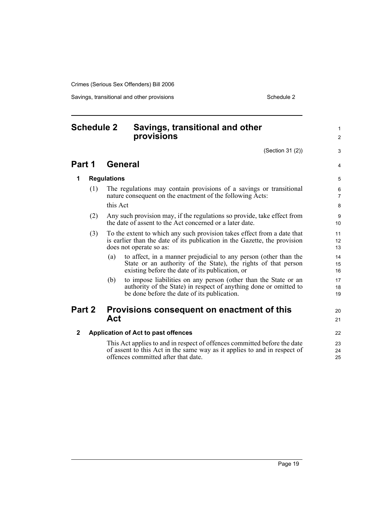Savings, transitional and other provisions Schedule 2 Schedule 2

1  $\mathfrak{p}$ 

3

4

#### <span id="page-24-0"></span>**Schedule 2 Savings, transitional and other provisions** (Section 31 (2)) **Part 1 General 1 Regulations** (1) The regulations may contain provisions of a savings or transitional nature consequent on the enactment of the following Acts: this Act (2) Any such provision may, if the regulations so provide, take effect from the date of assent to the Act concerned or a later date. (3) To the extent to which any such provision takes effect from a date that is earlier than the date of its publication in the Gazette, the provision does not operate so as: (a) to affect, in a manner prejudicial to any person (other than the State or an authority of the State), the rights of that person existing before the date of its publication, or (b) to impose liabilities on any person (other than the State or an authority of the State) in respect of anything done or omitted to be done before the date of its publication. **Part 2 Provisions consequent on enactment of this Act 2 Application of Act to past offences** This Act applies to and in respect of offences committed before the date of assent to this Act in the same way as it applies to and in respect of offences committed after that date. 10 11 12 13 14 15 16 17 18 19  $20$ 21 22 23 24 25